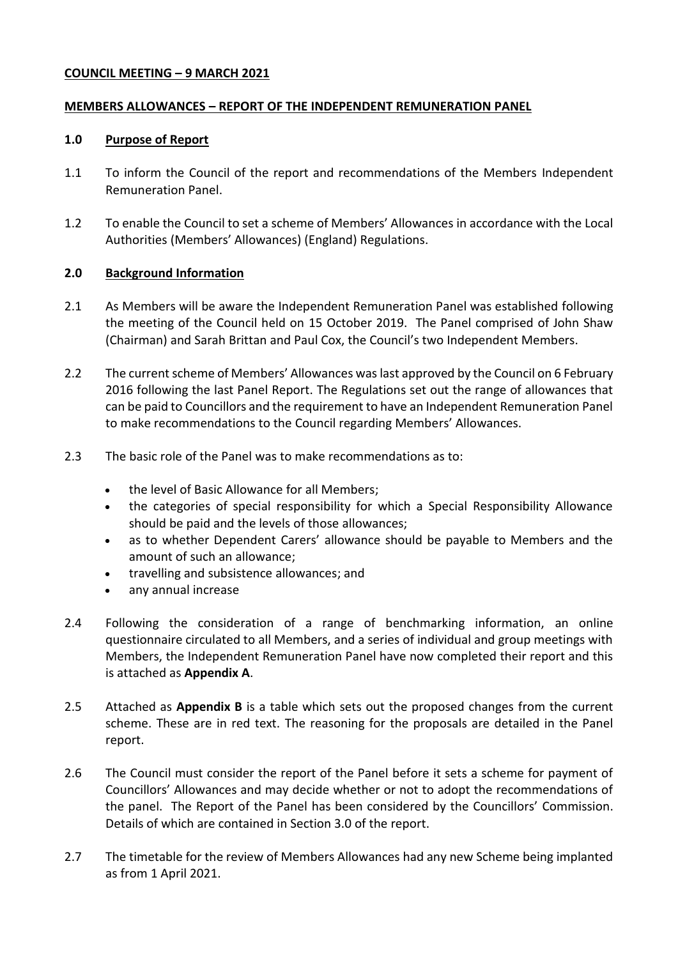### **COUNCIL MEETING – 9 MARCH 2021**

#### **MEMBERS ALLOWANCES – REPORT OF THE INDEPENDENT REMUNERATION PANEL**

#### **1.0 Purpose of Report**

- 1.1 To inform the Council of the report and recommendations of the Members Independent Remuneration Panel.
- 1.2 To enable the Council to set a scheme of Members' Allowances in accordance with the Local Authorities (Members' Allowances) (England) Regulations.

### **2.0 Background Information**

- 2.1 As Members will be aware the Independent Remuneration Panel was established following the meeting of the Council held on 15 October 2019. The Panel comprised of John Shaw (Chairman) and Sarah Brittan and Paul Cox, the Council's two Independent Members.
- 2.2 The current scheme of Members' Allowances was last approved by the Council on 6 February 2016 following the last Panel Report. The Regulations set out the range of allowances that can be paid to Councillors and the requirement to have an Independent Remuneration Panel to make recommendations to the Council regarding Members' Allowances.
- 2.3 The basic role of the Panel was to make recommendations as to:
	- the level of Basic Allowance for all Members;
	- the categories of special responsibility for which a Special Responsibility Allowance should be paid and the levels of those allowances;
	- as to whether Dependent Carers' allowance should be payable to Members and the amount of such an allowance;
	- travelling and subsistence allowances; and
	- any annual increase
- 2.4 Following the consideration of a range of benchmarking information, an online questionnaire circulated to all Members, and a series of individual and group meetings with Members, the Independent Remuneration Panel have now completed their report and this is attached as **Appendix A**.
- 2.5 Attached as **Appendix B** is a table which sets out the proposed changes from the current scheme. These are in red text. The reasoning for the proposals are detailed in the Panel report.
- 2.6 The Council must consider the report of the Panel before it sets a scheme for payment of Councillors' Allowances and may decide whether or not to adopt the recommendations of the panel. The Report of the Panel has been considered by the Councillors' Commission. Details of which are contained in Section 3.0 of the report.
- 2.7 The timetable for the review of Members Allowances had any new Scheme being implanted as from 1 April 2021.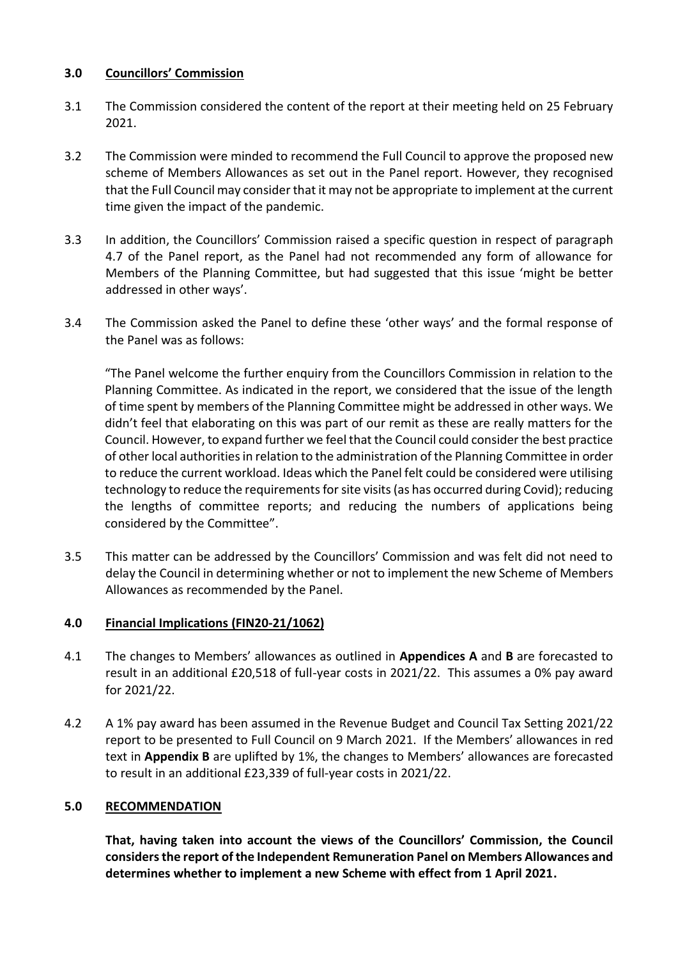## **3.0 Councillors' Commission**

- 3.1 The Commission considered the content of the report at their meeting held on 25 February 2021.
- 3.2 The Commission were minded to recommend the Full Council to approve the proposed new scheme of Members Allowances as set out in the Panel report. However, they recognised that the Full Council may consider that it may not be appropriate to implement at the current time given the impact of the pandemic.
- 3.3 In addition, the Councillors' Commission raised a specific question in respect of paragraph 4.7 of the Panel report, as the Panel had not recommended any form of allowance for Members of the Planning Committee, but had suggested that this issue 'might be better addressed in other ways'.
- 3.4 The Commission asked the Panel to define these 'other ways' and the formal response of the Panel was as follows:

"The Panel welcome the further enquiry from the Councillors Commission in relation to the Planning Committee. As indicated in the report, we considered that the issue of the length of time spent by members of the Planning Committee might be addressed in other ways. We didn't feel that elaborating on this was part of our remit as these are really matters for the Council. However, to expand further we feel that the Council could consider the best practice of other local authorities in relation to the administration of the Planning Committee in order to reduce the current workload. Ideas which the Panel felt could be considered were utilising technology to reduce the requirements for site visits (as has occurred during Covid); reducing the lengths of committee reports; and reducing the numbers of applications being considered by the Committee".

3.5 This matter can be addressed by the Councillors' Commission and was felt did not need to delay the Council in determining whether or not to implement the new Scheme of Members Allowances as recommended by the Panel.

# **4.0 Financial Implications (FIN20-21/1062)**

- 4.1 The changes to Members' allowances as outlined in **Appendices A** and **B** are forecasted to result in an additional £20,518 of full-year costs in 2021/22. This assumes a 0% pay award for 2021/22.
- 4.2 A 1% pay award has been assumed in the Revenue Budget and Council Tax Setting 2021/22 report to be presented to Full Council on 9 March 2021. If the Members' allowances in red text in **Appendix B** are uplifted by 1%, the changes to Members' allowances are forecasted to result in an additional £23,339 of full-year costs in 2021/22.

# **5.0 RECOMMENDATION**

**That, having taken into account the views of the Councillors' Commission, the Council considersthe report of the Independent Remuneration Panel on Members Allowances and determines whether to implement a new Scheme with effect from 1 April 2021.**